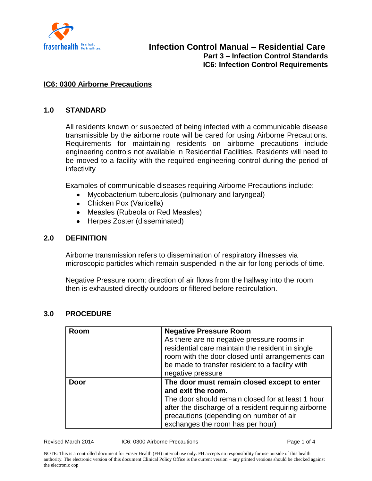

#### **IC6: 0300 Airborne Precautions**

#### **1.0 STANDARD**

All residents known or suspected of being infected with a communicable disease transmissible by the airborne route will be cared for using Airborne Precautions. Requirements for maintaining residents on airborne precautions include engineering controls not available in Residential Facilities. Residents will need to be moved to a facility with the required engineering control during the period of infectivity

Examples of communicable diseases requiring Airborne Precautions include:

- Mycobacterium tuberculosis (pulmonary and laryngeal)
- Chicken Pox (Varicella)
- Measles (Rubeola or Red Measles)
- Herpes Zoster (disseminated)  $\bullet$

#### **2.0 DEFINITION**

Airborne transmission refers to dissemination of respiratory illnesses via microscopic particles which remain suspended in the air for long periods of time.

Negative Pressure room: direction of air flows from the hallway into the room then is exhausted directly outdoors or filtered before recirculation.

| Room        | <b>Negative Pressure Room</b>                        |
|-------------|------------------------------------------------------|
|             | As there are no negative pressure rooms in           |
|             | residential care maintain the resident in single     |
|             | room with the door closed until arrangements can     |
|             | be made to transfer resident to a facility with      |
|             | negative pressure                                    |
| <b>Door</b> | The door must remain closed except to enter          |
|             | and exit the room.                                   |
|             | The door should remain closed for at least 1 hour    |
|             | after the discharge of a resident requiring airborne |
|             | precautions (depending on number of air              |
|             | exchanges the room has per hour)                     |

#### **3.0 PROCEDURE**

Revised March 2014 IC6: 0300 Airborne Precautions **Page 1 of 4** Page 1 of 4

NOTE: This is a controlled document for Fraser Health (FH) internal use only. FH accepts no responsibility for use outside of this health authority. The electronic version of this document Clinical Policy Office is the current version – any printed versions should be checked against the electronic cop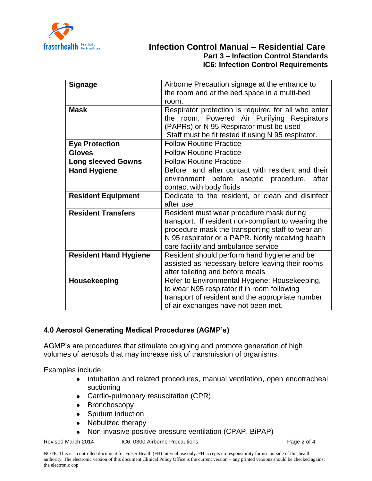

# **Infection Control Manual – Residential Care Part 3 – Infection Control Standards IC6: Infection Control Requirements**

| Airborne Precaution signage at the entrance to<br><b>Signage</b><br>the room and at the bed space in a multi-bed<br>room.<br>Respirator protection is required for all who enter<br><b>Mask</b><br>the room. Powered Air Purifying Respirators<br>(PAPRs) or N 95 Respirator must be used<br>Staff must be fit tested if using N 95 respirator.<br><b>Follow Routine Practice</b><br><b>Eye Protection</b><br><b>Follow Routine Practice</b><br><b>Gloves</b><br><b>Follow Routine Practice</b><br><b>Long sleeved Gowns</b><br>Before and after contact with resident and their<br><b>Hand Hygiene</b><br>environment before aseptic<br>procedure,<br>after<br>contact with body fluids<br><b>Resident Equipment</b><br>Dedicate to the resident, or clean and disinfect<br>after use |
|----------------------------------------------------------------------------------------------------------------------------------------------------------------------------------------------------------------------------------------------------------------------------------------------------------------------------------------------------------------------------------------------------------------------------------------------------------------------------------------------------------------------------------------------------------------------------------------------------------------------------------------------------------------------------------------------------------------------------------------------------------------------------------------|
|                                                                                                                                                                                                                                                                                                                                                                                                                                                                                                                                                                                                                                                                                                                                                                                        |
|                                                                                                                                                                                                                                                                                                                                                                                                                                                                                                                                                                                                                                                                                                                                                                                        |
|                                                                                                                                                                                                                                                                                                                                                                                                                                                                                                                                                                                                                                                                                                                                                                                        |
|                                                                                                                                                                                                                                                                                                                                                                                                                                                                                                                                                                                                                                                                                                                                                                                        |
|                                                                                                                                                                                                                                                                                                                                                                                                                                                                                                                                                                                                                                                                                                                                                                                        |
|                                                                                                                                                                                                                                                                                                                                                                                                                                                                                                                                                                                                                                                                                                                                                                                        |
|                                                                                                                                                                                                                                                                                                                                                                                                                                                                                                                                                                                                                                                                                                                                                                                        |
|                                                                                                                                                                                                                                                                                                                                                                                                                                                                                                                                                                                                                                                                                                                                                                                        |
|                                                                                                                                                                                                                                                                                                                                                                                                                                                                                                                                                                                                                                                                                                                                                                                        |
|                                                                                                                                                                                                                                                                                                                                                                                                                                                                                                                                                                                                                                                                                                                                                                                        |
|                                                                                                                                                                                                                                                                                                                                                                                                                                                                                                                                                                                                                                                                                                                                                                                        |
|                                                                                                                                                                                                                                                                                                                                                                                                                                                                                                                                                                                                                                                                                                                                                                                        |
|                                                                                                                                                                                                                                                                                                                                                                                                                                                                                                                                                                                                                                                                                                                                                                                        |
|                                                                                                                                                                                                                                                                                                                                                                                                                                                                                                                                                                                                                                                                                                                                                                                        |
|                                                                                                                                                                                                                                                                                                                                                                                                                                                                                                                                                                                                                                                                                                                                                                                        |
| <b>Resident Transfers</b><br>Resident must wear procedure mask during                                                                                                                                                                                                                                                                                                                                                                                                                                                                                                                                                                                                                                                                                                                  |
| transport. If resident non-compliant to wearing the                                                                                                                                                                                                                                                                                                                                                                                                                                                                                                                                                                                                                                                                                                                                    |
| procedure mask the transporting staff to wear an                                                                                                                                                                                                                                                                                                                                                                                                                                                                                                                                                                                                                                                                                                                                       |
| N 95 respirator or a PAPR. Notify receiving health                                                                                                                                                                                                                                                                                                                                                                                                                                                                                                                                                                                                                                                                                                                                     |
| care facility and ambulance service                                                                                                                                                                                                                                                                                                                                                                                                                                                                                                                                                                                                                                                                                                                                                    |
| Resident should perform hand hygiene and be<br><b>Resident Hand Hygiene</b>                                                                                                                                                                                                                                                                                                                                                                                                                                                                                                                                                                                                                                                                                                            |
| assisted as necessary before leaving their rooms                                                                                                                                                                                                                                                                                                                                                                                                                                                                                                                                                                                                                                                                                                                                       |
| after toileting and before meals                                                                                                                                                                                                                                                                                                                                                                                                                                                                                                                                                                                                                                                                                                                                                       |
| Refer to Environmental Hygiene: Housekeeping,<br>Housekeeping                                                                                                                                                                                                                                                                                                                                                                                                                                                                                                                                                                                                                                                                                                                          |
| to wear N95 respirator if in room following                                                                                                                                                                                                                                                                                                                                                                                                                                                                                                                                                                                                                                                                                                                                            |
| transport of resident and the appropriate number                                                                                                                                                                                                                                                                                                                                                                                                                                                                                                                                                                                                                                                                                                                                       |
| of air exchanges have not been met.                                                                                                                                                                                                                                                                                                                                                                                                                                                                                                                                                                                                                                                                                                                                                    |

# **4.0 Aerosol Generating Medical Procedures (AGMP's)**

AGMP's are procedures that stimulate coughing and promote generation of high volumes of aerosols that may increase risk of transmission of organisms.

Examples include:

- Intubation and related procedures, manual ventilation, open endotracheal  $\bullet$ suctioning
- Cardio-pulmonary resuscitation (CPR)  $\bullet$
- $\bullet$ Bronchoscopy
- Sputum induction
- Nebulized therapy  $\bullet$
- Non-invasive positive pressure ventilation (CPAP, BiPAP) $\bullet$

Revised March 2014 IC6: 0300 Airborne Precautions Page 2 of 4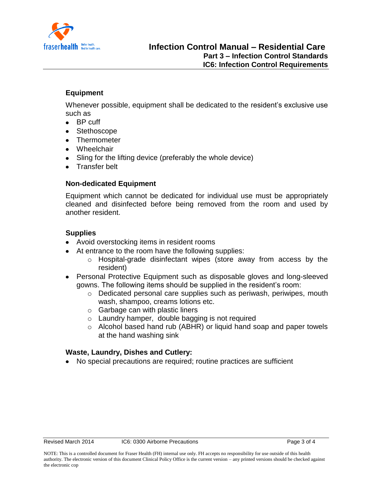

## **Equipment**

Whenever possible, equipment shall be dedicated to the resident's exclusive use such as

- BP cuff
- Stethoscope
- Thermometer
- Wheelchair
- Sling for the lifting device (preferably the whole device)
- **•** Transfer belt

## **Non-dedicated Equipment**

Equipment which cannot be dedicated for individual use must be appropriately cleaned and disinfected before being removed from the room and used by another resident.

## **Supplies**

- Avoid overstocking items in resident rooms
- At entrance to the room have the following supplies:
	- o Hospital-grade disinfectant wipes (store away from access by the resident)
- Personal Protective Equipment such as disposable gloves and long-sleeved  $\bullet$ gowns. The following items should be supplied in the resident's room:
	- o Dedicated personal care supplies such as periwash, periwipes, mouth wash, shampoo, creams lotions etc.
	- o Garbage can with plastic liners
	- o Laundry hamper, double bagging is not required
	- o Alcohol based hand rub (ABHR) or liquid hand soap and paper towels at the hand washing sink

## **Waste, Laundry, Dishes and Cutlery:**

No special precautions are required; routine practices are sufficient